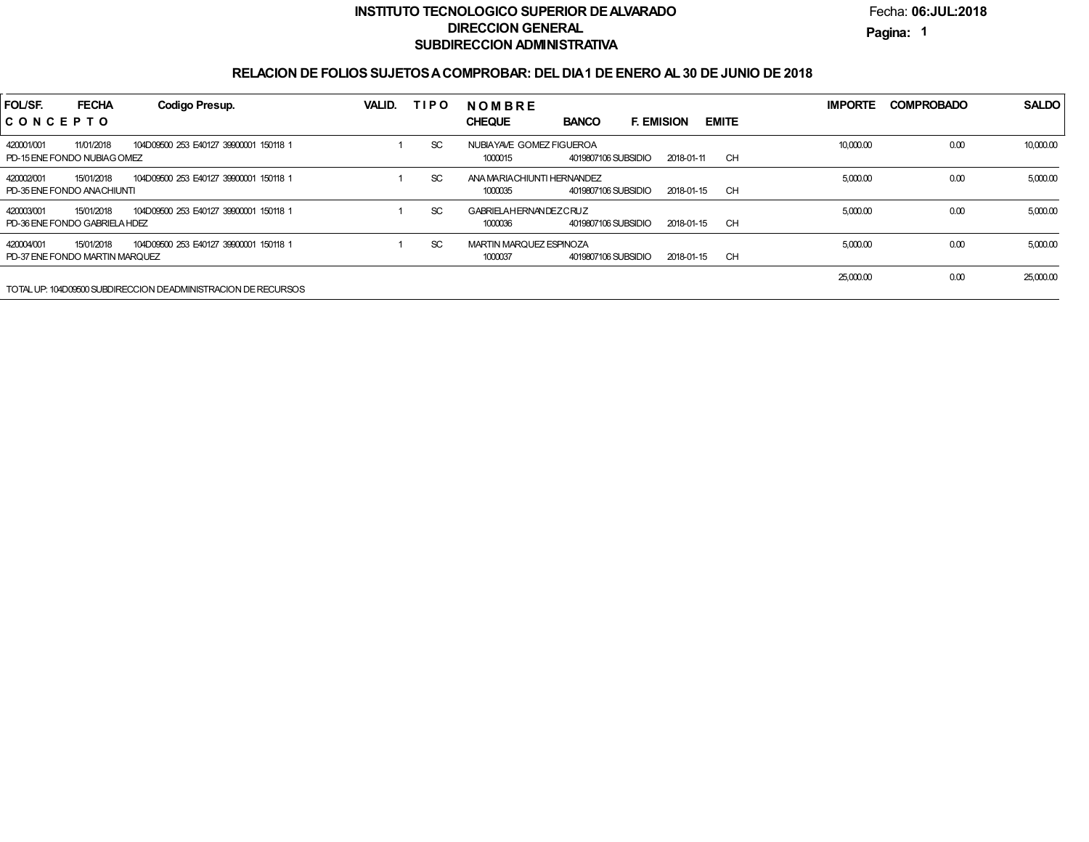## **INSTITUTO TECNOLOGICO SUPERIOR DE ALVARADODIRECCION GENERALSUBDIRECCION ADMINISTRATIVA**

Fecha:**06:JUL:2018**

**Pagina:1**

## **RELACION DE FOLIOS SUJETOS A COMPROBAR: DEL DIA 1 DE ENERO AL 30 DE JUNIO DE 2018**

| FOL/SF.                                      | <b>FECHA</b> | Codigo Presup.                                                | VALID. | <b>TIPO</b> | <b>NOMBRE</b>                                                                      | <b>IMPORTE</b> | <b>COMPROBADO</b> | <b>SALDO</b> |
|----------------------------------------------|--------------|---------------------------------------------------------------|--------|-------------|------------------------------------------------------------------------------------|----------------|-------------------|--------------|
| CONCEPTO                                     |              |                                                               |        |             | <b>EMITE</b><br><b>CHEQUE</b><br><b>BANCO</b><br><b>F. EMISION</b>                 |                |                   |              |
| 420001/001<br>PD-15 ENE FONDO NUBIAGOMEZ     | 11/01/2018   | 104D09500 253 E40127 39900001 150118 1                        |        | SC          | NUBIAYAVE GOMEZ FIGUEROA<br>4019807106 SUBSIDIO<br>CH<br>1000015<br>2018-01-11     | 10,000.00      | 0.00              | 10,000.00    |
| 420002/001<br>PD-35 ENE FONDO ANACHIUNTI     | 15/01/2018   | 104D09500 253 E40127 39900001 150118 1                        |        | SC.         | ANA MARIACHIUNTI HERNANDEZ<br>CH<br>1000035<br>4019807106 SUBSIDIO<br>2018-01-15   | 5,000.00       | 0.00              | 5,000.00     |
| 420003/001<br>PD-36 ENE FONDO GABRIELA HDEZ  | 15/01/2018   | 104D09500 253 E40127 39900001 150118 1                        |        | SC          | <b>GABRIELAHERNANDEZCRUZ</b><br>4019807106 SUBSIDIO<br>CH<br>1000036<br>2018-01-15 | 5,000.00       | 0.00              | 5,000.00     |
| 420004/001<br>PD-37 ENE FONDO MARTIN MARQUEZ | 15/01/2018   | 104D09500 253 E40127 39900001 150118 1                        |        | SC          | MARTIN MARQUEZ ESPINOZA<br>CH<br>1000037<br>4019807106 SUBSIDIO<br>2018-01-15      | 5,000.00       | 0.00              | 5,000.00     |
|                                              |              | TOTAL UP: 104D09500 SUBDIRECCION DEADMINISTRACION DE RECURSOS |        |             |                                                                                    | 25,000.00      | 0.00              | 25,000.00    |